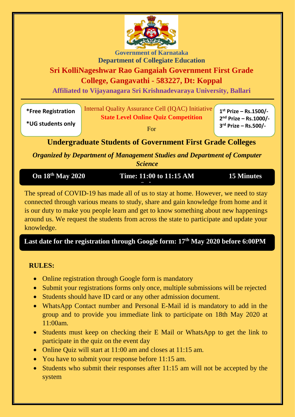

**Government of Karnataka Department of Collegiate Education**

### **Sri KolliNageshwar Rao Gangaiah Government First Grade**

**College, Gangavathi - 583227, Dt: Koppal**

**Affiliated to Vijayanagara Sri Krishnadevaraya University, Ballari**

| <i><b>*Free Registration</b></i> | Internal Quality Assurance Cell (IQAC) Initiative | $1^{st}$ Prize - Rs.1500/- |
|----------------------------------|---------------------------------------------------|----------------------------|
|                                  | <b>State Level Online Quiz Competition</b>        | $2nd$ Prize – Rs.1000/-    |
| *UG students only                |                                                   | $3rd$ Prize – Rs.500/-     |

For

**3 rd Prize – Rs.500/-**

**Undergraduate Students of Government First Grade Colleges**

*Organized by Department of Management Studies and Department of Computer Science*

| <b>On 18th May 2020</b> | Time: 11:00 to 11:15 AM | 15 Minutes |
|-------------------------|-------------------------|------------|
|                         |                         |            |
|                         |                         |            |

The spread of COVID-19 has made all of us to stay at home. However, we need to stay connected through various means to study, share and gain knowledge from home and it is our duty to make you people learn and get to know something about new happenings around us. We request the students from across the state to participate and update your knowledge.

**Last date for the registration through Google form: 17th May 2020 before 6:00PM**

#### **RULES:**

- Online registration through Google form is mandatory
- Submit your registrations forms only once, multiple submissions will be rejected
- Students should have ID card or any other admission document.
- WhatsApp Contact number and Personal E-Mail id is mandatory to add in the group and to provide you immediate link to participate on 18th May 2020 at 11:00am.
- Students must keep on checking their E Mail or WhatsApp to get the link to participate in the quiz on the event day
- Online Quiz will start at 11:00 am and closes at 11:15 am.
- You have to submit your response before 11:15 am.
- Students who submit their responses after 11:15 am will not be accepted by the system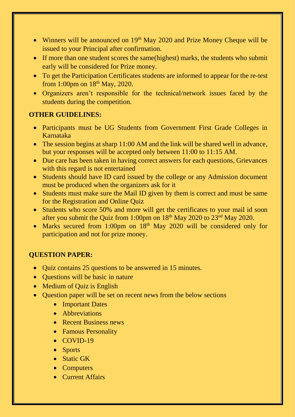- Winners will be announced on 19<sup>th</sup> May 2020 and Prize Money Cheque will be issued to your Principal after confirmation.
- If more than one student scores the same(highest) marks, the students who submit early will be considered for Prize money.
- To get the Participation Certificates students are informed to appear for the re-test from 1:00pm on  $18^{th}$  May, 2020.
- Organizers aren't responsible for the technical/network issues faced by the students during the competition.

#### **OTHER GUIDELINES:**

- Participants must be UG Students from Government First Grade Colleges in Karnataka
- The session begins at sharp 11:00 AM and the link will be shared well in advance, but your responses will be accepted only between 11:00 to 11:15 AM.
- Due care has been taken in having correct answers for each questions, Grievances with this regard is not entertained
- Students should have ID card issued by the college or any Admission document must be produced when the organizers ask for it
- Students must make sure the Mail ID given by them is correct and must be same for the Registration and Online Quiz
- Students who score 50% and more will get the certificates to your mail id soon after you submit the Quiz from 1:00pm on 18<sup>th</sup> May 2020 to 23<sup>nd</sup> May 2020.
- Marks secured from 1:00pm on 18<sup>th</sup> May 2020 will be considered only for participation and not for prize money.

#### **QUESTION PAPER:**

- Quiz contains 25 questions to be answered in 15 minutes.
- Ouestions will be basic in nature
- Medium of Quiz is English
- Ouestion paper will be set on recent news from the below sections
	- Important Dates
	- Abbreviations
	- Recent Business news
	- Famous Personality
	- COVID-19
	- Sports
	- Static GK
	- Computers
	- Current Affairs